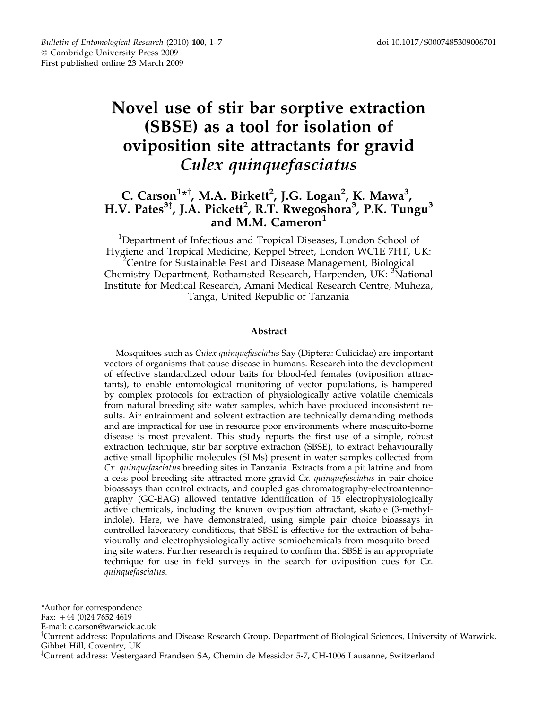# Novel use of stir bar sorptive extraction (SBSE) as a tool for isolation of oviposition site attractants for gravid Culex quinquefasciatus

# C. Carson $1*$ †, M.A. Birkett<sup>2</sup>, J.G. Logan<sup>2</sup>, K. Mawa<sup>3</sup>, H.V. Pates<sup>3‡</sup>, J.A. Pickett<sup>2</sup>, R.T. Rwegoshora<sup>3</sup>, P.K. Tungu<sup>3</sup> and M.M. Cameron $<sup>1</sup>$ </sup>

<sup>1</sup>Department of Infectious and Tropical Diseases, London School of Hygiene and Tropical Medicine, Keppel Street, London WC1E 7HT, UK: <sup>2</sup> Centre for Sustainable Pest and Disease Management, Biological Chemistry Department, Rothamsted Research, Harpenden, UK: <sup>3</sup>National Institute for Medical Research, Amani Medical Research Centre, Muheza, Tanga, United Republic of Tanzania

# Abstract

Mosquitoes such as Culex quinquefasciatus Say (Diptera: Culicidae) are important vectors of organisms that cause disease in humans. Research into the development of effective standardized odour baits for blood-fed females (oviposition attractants), to enable entomological monitoring of vector populations, is hampered by complex protocols for extraction of physiologically active volatile chemicals from natural breeding site water samples, which have produced inconsistent results. Air entrainment and solvent extraction are technically demanding methods and are impractical for use in resource poor environments where mosquito-borne disease is most prevalent. This study reports the first use of a simple, robust extraction technique, stir bar sorptive extraction (SBSE), to extract behaviourally active small lipophilic molecules (SLMs) present in water samples collected from Cx. quinquefasciatus breeding sites in Tanzania. Extracts from a pit latrine and from a cess pool breeding site attracted more gravid Cx. quinquefasciatus in pair choice bioassays than control extracts, and coupled gas chromatography-electroantennography (GC-EAG) allowed tentative identification of 15 electrophysiologically active chemicals, including the known oviposition attractant, skatole (3-methylindole). Here, we have demonstrated, using simple pair choice bioassays in controlled laboratory conditions, that SBSE is effective for the extraction of behaviourally and electrophysiologically active semiochemicals from mosquito breeding site waters. Further research is required to confirm that SBSE is an appropriate technique for use in field surveys in the search for oviposition cues for  $Cx$ . quinquefasciatus.

<sup>\*</sup>Author for correspondence

Fax: +44 (0)24 7652 4619

E-mail: c.carson@warwick.ac.uk

<sup>&</sup>lt;sup>†</sup>Current address: Populations and Disease Research Group, Department of Biological Sciences, University of Warwick, Gibbet Hill, Coventry, UK

<sup>&</sup>lt;sup>‡</sup>Current address: Vestergaard Frandsen SA, Chemin de Messidor 5-7, CH-1006 Lausanne, Switzerland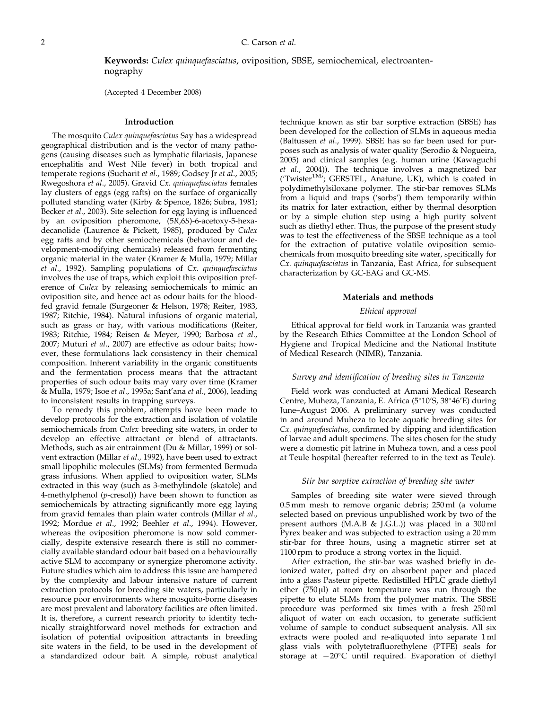Keywords: Culex quinquefasciatus, oviposition, SBSE, semiochemical, electroantennography

(Accepted 4 December 2008)

#### Introduction

The mosquito Culex quinquefasciatus Say has a widespread geographical distribution and is the vector of many pathogens (causing diseases such as lymphatic filariasis, Japanese encephalitis and West Nile fever) in both tropical and temperate regions (Sucharit et al., 1989; Godsey Jr et al., 2005; Rwegoshora et al., 2005). Gravid Cx. quinquefasciatus females lay clusters of eggs (egg rafts) on the surface of organically polluted standing water (Kirby & Spence, 1826; Subra, 1981; Becker *et al.*, 2003). Site selection for egg laying is influenced by an oviposition pheromone, (5R,6S)-6-acetoxy-5-hexadecanolide (Laurence & Pickett, 1985), produced by Culex egg rafts and by other semiochemicals (behaviour and development-modifying chemicals) released from fermenting organic material in the water (Kramer & Mulla, 1979; Millar et al., 1992). Sampling populations of Cx. quinquefasciatus involves the use of traps, which exploit this oviposition preference of Culex by releasing semiochemicals to mimic an oviposition site, and hence act as odour baits for the bloodfed gravid female (Surgeoner & Helson, 1978; Reiter, 1983, 1987; Ritchie, 1984). Natural infusions of organic material, such as grass or hay, with various modifications (Reiter, 1983; Ritchie, 1984; Reisen & Meyer, 1990; Barbosa et al., 2007; Muturi et al., 2007) are effective as odour baits; however, these formulations lack consistency in their chemical composition. Inherent variability in the organic constituents and the fermentation process means that the attractant properties of such odour baits may vary over time (Kramer & Mulla, 1979; Isoe et al., 1995a; Sant'ana et al., 2006), leading to inconsistent results in trapping surveys.

To remedy this problem, attempts have been made to develop protocols for the extraction and isolation of volatile semiochemicals from Culex breeding site waters, in order to develop an effective attractant or blend of attractants. Methods, such as air entrainment (Du & Millar, 1999) or solvent extraction (Millar et al., 1992), have been used to extract small lipophilic molecules (SLMs) from fermented Bermuda grass infusions. When applied to oviposition water, SLMs extracted in this way (such as 3-methylindole (skatole) and 4-methylphenol (p-cresol)) have been shown to function as semiochemicals by attracting significantly more egg laying from gravid females than plain water controls (Millar et al., 1992; Mordue et al., 1992; Beehler et al., 1994). However, whereas the oviposition pheromone is now sold commercially, despite extensive research there is still no commercially available standard odour bait based on a behaviourally active SLM to accompany or synergize pheromone activity. Future studies which aim to address this issue are hampered by the complexity and labour intensive nature of current extraction protocols for breeding site waters, particularly in resource poor environments where mosquito-borne diseases are most prevalent and laboratory facilities are often limited. It is, therefore, a current research priority to identify technically straightforward novel methods for extraction and isolation of potential oviposition attractants in breeding site waters in the field, to be used in the development of a standardized odour bait. A simple, robust analytical technique known as stir bar sorptive extraction (SBSE) has been developed for the collection of SLMs in aqueous media (Baltussen et al., 1999). SBSE has so far been used for purposes such as analysis of water quality (Serodio & Nogueira, 2005) and clinical samples (e.g. human urine (Kawaguchi et al., 2004)). The technique involves a magnetized bar  $('Twister<sup>TM'</sup>)$ ; GERSTEL, Anatune, UK), which is coated in polydimethylsiloxane polymer. The stir-bar removes SLMs from a liquid and traps ('sorbs') them temporarily within its matrix for later extraction, either by thermal desorption or by a simple elution step using a high purity solvent such as diethyl ether. Thus, the purpose of the present study was to test the effectiveness of the SBSE technique as a tool for the extraction of putative volatile oviposition semiochemicals from mosquito breeding site water, specifically for Cx. quinquefasciatus in Tanzania, East Africa, for subsequent characterization by GC-EAG and GC-MS.

# Materials and methods

#### Ethical approval

Ethical approval for field work in Tanzania was granted by the Research Ethics Committee at the London School of Hygiene and Tropical Medicine and the National Institute of Medical Research (NIMR), Tanzania.

# Survey and identification of breeding sites in Tanzania

Field work was conducted at Amani Medical Research Centre, Muheza, Tanzania, E. Africa (5°10'S, 38°46'E) during June–August 2006. A preliminary survey was conducted in and around Muheza to locate aquatic breeding sites for Cx. quinquefasciatus, confirmed by dipping and identification of larvae and adult specimens. The sites chosen for the study were a domestic pit latrine in Muheza town, and a cess pool at Teule hospital (hereafter referred to in the text as Teule).

#### Stir bar sorptive extraction of breeding site water

Samples of breeding site water were sieved through 0.5 mm mesh to remove organic debris; 250 ml (a volume selected based on previous unpublished work by two of the present authors (M.A.B & J.G.L.)) was placed in a 300 ml Pyrex beaker and was subjected to extraction using a 20 mm stir-bar for three hours, using a magnetic stirrer set at 1100 rpm to produce a strong vortex in the liquid.

After extraction, the stir-bar was washed briefly in deionized water, patted dry on absorbent paper and placed into a glass Pasteur pipette. Redistilled HPLC grade diethyl ether  $(750 \,\mu\text{I})$  at room temperature was run through the pipette to elute SLMs from the polymer matrix. The SBSE procedure was performed six times with a fresh 250 ml aliquot of water on each occasion, to generate sufficient volume of sample to conduct subsequent analysis. All six extracts were pooled and re-aliquoted into separate 1 ml glass vials with polytetrafluorethylene (PTFE) seals for storage at  $-20^{\circ}$ C until required. Evaporation of diethyl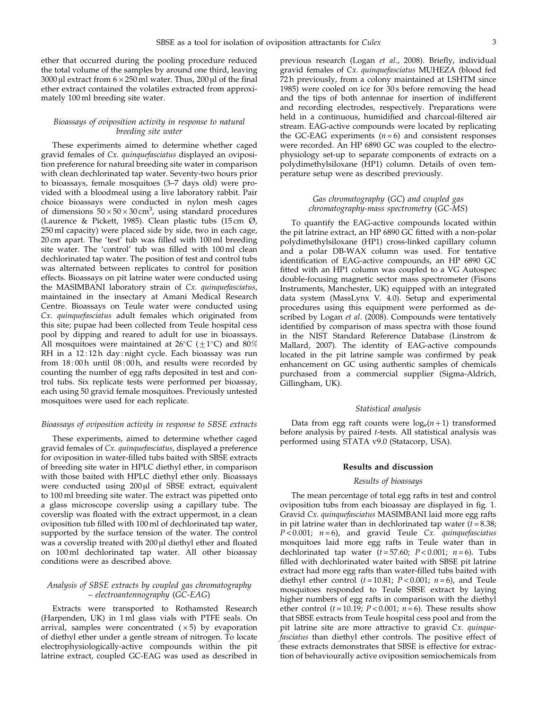ether that occurred during the pooling procedure reduced the total volume of the samples by around one third, leaving 3000 µl extract from  $6 \times 250$  ml water. Thus, 200 µl of the final ether extract contained the volatiles extracted from approximately 100 ml breeding site water.

# Bioassays of oviposition activity in response to natural breeding site water

These experiments aimed to determine whether caged gravid females of Cx. quinquefasciatus displayed an oviposition preference for natural breeding site water in comparison with clean dechlorinated tap water. Seventy-two hours prior to bioassays, female mosquitoes (3–7 days old) were provided with a bloodmeal using a live laboratory rabbit. Pair choice bioassays were conducted in nylon mesh cages of dimensions  $50 \times 50 \times 30$  cm<sup>3</sup>, using standard procedures (Laurence & Pickett, 1985). Clean plastic tubs (15 cm Ø, 250 ml capacity) were placed side by side, two in each cage, 20 cm apart. The 'test' tub was filled with 100 ml breeding site water. The 'control' tub was filled with 100 ml clean dechlorinated tap water. The position of test and control tubs was alternated between replicates to control for position effects. Bioassays on pit latrine water were conducted using the MASIMBANI laboratory strain of Cx. quinquefasciatus, maintained in the insectary at Amani Medical Research Centre. Bioassays on Teule water were conducted using Cx. quinquefasciatus adult females which originated from this site; pupae had been collected from Teule hospital cess pool by dipping and reared to adult for use in bioassays. All mosquitoes were maintained at 26°C ( $\pm$ 1°C) and 80% RH in a 12:12h day: night cycle. Each bioassay was run from  $18:00h$  until  $08:00h$ , and results were recorded by counting the number of egg rafts deposited in test and control tubs. Six replicate tests were performed per bioassay, each using 50 gravid female mosquitoes. Previously untested mosquitoes were used for each replicate.

#### Bioassays of oviposition activity in response to SBSE extracts

These experiments, aimed to determine whether caged gravid females of Cx. quinquefasciatus, displayed a preference for oviposition in water-filled tubs baited with SBSE extracts of breeding site water in HPLC diethyl ether, in comparison with those baited with HPLC diethyl ether only. Bioassays were conducted using 200 µl of SBSE extract, equivalent to 100 ml breeding site water. The extract was pipetted onto a glass microscope coverslip using a capillary tube. The coverslip was floated with the extract uppermost, in a clean oviposition tub filled with 100 ml of dechlorinated tap water, supported by the surface tension of the water. The control was a coverslip treated with 200 µl diethyl ether and floated on 100 ml dechlorinated tap water. All other bioassay conditions were as described above.

#### Analysis of SBSE extracts by coupled gas chromatography – electroantennography (GC-EAG)

Extracts were transported to Rothamsted Research (Harpenden, UK) in 1 ml glass vials with PTFE seals. On arrival, samples were concentrated  $(x5)$  by evaporation of diethyl ether under a gentle stream of nitrogen. To locate electrophysiologically-active compounds within the pit latrine extract, coupled GC-EAG was used as described in

previous research (Logan et al., 2008). Briefly, individual gravid females of Cx. quinquefasciatus MUHEZA (blood fed 72 h previously, from a colony maintained at LSHTM since 1985) were cooled on ice for 30 s before removing the head and the tips of both antennae for insertion of indifferent and recording electrodes, respectively. Preparations were held in a continuous, humidified and charcoal-filtered air stream. EAG-active compounds were located by replicating the GC-EAG experiments  $(n=6)$  and consistent responses were recorded. An HP 6890 GC was coupled to the electrophysiology set-up to separate components of extracts on a polydimethylsiloxane (HP1) column. Details of oven temperature setup were as described previously.

#### Gas chromatography (GC) and coupled gas chromatography-mass spectrometry (GC-MS)

To quantify the EAG-active compounds located within the pit latrine extract, an HP 6890 GC fitted with a non-polar polydimethylsiloxane (HP1) cross-linked capillary column and a polar DB-WAX column was used. For tentative identification of EAG-active compounds, an HP 6890 GC fitted with an HP1 column was coupled to a VG Autospec double-focusing magnetic sector mass spectrometer (Fisons Instruments, Manchester, UK) equipped with an integrated data system (MassLynx V. 4.0). Setup and experimental procedures using this equipment were performed as described by Logan et al. (2008). Compounds were tentatively identified by comparison of mass spectra with those found in the NIST Standard Reference Database (Linstrom & Mallard, 2007). The identity of EAG-active compounds located in the pit latrine sample was confirmed by peak enhancement on GC using authentic samples of chemicals purchased from a commercial supplier (Sigma-Aldrich, Gillingham, UK).

#### Statistical analysis

Data from egg raft counts were  $log_e(n+1)$  transformed before analysis by paired t-tests. All statistical analysis was performed using STATA v9.0 (Statacorp, USA).

#### Results and discussion

#### Results of bioassays

The mean percentage of total egg rafts in test and control oviposition tubs from each bioassay are displayed in fig. 1. Gravid Cx. quinquefasciatus MASIMBANI laid more egg rafts in pit latrine water than in dechlorinated tap water  $(t = 8.38)$ ;  $P < 0.001$ ;  $n = 6$ ), and gravid Teule Cx. quinquefasciatus mosquitoes laid more egg rafts in Teule water than in dechlorinated tap water  $(t = 57.60; P < 0.001; n = 6)$ . Tubs filled with dechlorinated water baited with SBSE pit latrine extract had more egg rafts than water-filled tubs baited with diethyl ether control ( $t = 10.81$ ;  $P < 0.001$ ;  $n = 6$ ), and Teule mosquitoes responded to Teule SBSE extract by laying higher numbers of egg rafts in comparison with the diethyl ether control ( $t = 10.19$ ;  $P < 0.001$ ;  $n = 6$ ). These results show that SBSE extracts from Teule hospital cess pool and from the pit latrine site are more attractive to gravid Cx. quinquefasciatus than diethyl ether controls. The positive effect of these extracts demonstrates that SBSE is effective for extraction of behaviourally active oviposition semiochemicals from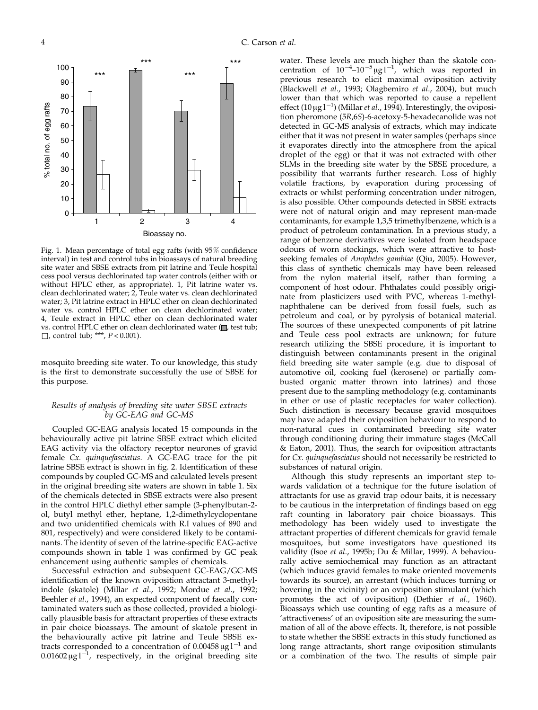Fig. 1. Mean percentage of total egg rafts (with 95% confidence interval) in test and control tubs in bioassays of natural breeding site water and SBSE extracts from pit latrine and Teule hospital cess pool versus dechlorinated tap water controls (either with or without HPLC ether, as appropriate). 1, Pit latrine water vs. clean dechlorinated water; 2, Teule water vs. clean dechlorinated water; 3, Pit latrine extract in HPLC ether on clean dechlorinated water vs. control HPLC ether on clean dechlorinated water; 4, Teule extract in HPLC ether on clean dechlorinated water vs. control HPLC ether on clean dechlorinated water  $(\blacksquare)$ , test tub; □, control tub; \*\*\*,  $P < 0.001$ ).

mosquito breeding site water. To our knowledge, this study is the first to demonstrate successfully the use of SBSE for this purpose.

### Results of analysis of breeding site water SBSE extracts by GC-EAG and GC-MS

Coupled GC-EAG analysis located 15 compounds in the behaviourally active pit latrine SBSE extract which elicited EAG activity via the olfactory receptor neurones of gravid female Cx. quinquefasciatus. A GC-EAG trace for the pit latrine SBSE extract is shown in fig. 2. Identification of these compounds by coupled GC-MS and calculated levels present in the original breeding site waters are shown in table 1. Six of the chemicals detected in SBSE extracts were also present in the control HPLC diethyl ether sample (3-phenylbutan-2 ol, butyl methyl ether, heptane, 1,2-dimethylcyclopentane and two unidentified chemicals with R.I values of 890 and 801, respectively) and were considered likely to be contaminants. The identity of seven of the latrine-specific EAG-active compounds shown in table 1 was confirmed by GC peak enhancement using authentic samples of chemicals.

Successful extraction and subsequent GC-EAG/GC-MS identification of the known oviposition attractant 3-methylindole (skatole) (Millar et al., 1992; Mordue et al., 1992; Beehler et al., 1994), an expected component of faecally contaminated waters such as those collected, provided a biologically plausible basis for attractant properties of these extracts in pair choice bioassays. The amount of skatole present in the behaviourally active pit latrine and Teule SBSE extracts corresponded to a concentration of  $0.00458 \mu g l^{-1}$  and  $0.01602 \,\mathrm{\upmu}\mathrm{g}\,\mathrm{l}^{-1}$ , respectively, in the original breeding site

water. These levels are much higher than the skatole concentration of  $10^{-4}$ – $10^{-5}$ µg $1^{-1}$ , which was reported in previous research to elicit maximal oviposition activity (Blackwell et al., 1993; Olagbemiro et al., 2004), but much lower than that which was reported to cause a repellent effect  $(10 \mu g 1^{-1})$  (Millar et al., 1994). Interestingly, the oviposition pheromone (5R,6S)-6-acetoxy-5-hexadecanolide was not detected in GC-MS analysis of extracts, which may indicate either that it was not present in water samples (perhaps since it evaporates directly into the atmosphere from the apical droplet of the egg) or that it was not extracted with other SLMs in the breeding site water by the SBSE procedure, a possibility that warrants further research. Loss of highly volatile fractions, by evaporation during processing of extracts or whilst performing concentration under nitrogen, is also possible. Other compounds detected in SBSE extracts were not of natural origin and may represent man-made contaminants, for example 1,3,5 trimethylbenzene, which is a product of petroleum contamination. In a previous study, a range of benzene derivatives were isolated from headspace odours of worn stockings, which were attractive to hostseeking females of Anopheles gambiae (Qiu, 2005). However, this class of synthetic chemicals may have been released from the nylon material itself, rather than forming a component of host odour. Phthalates could possibly originate from plasticizers used with PVC, whereas 1-methylnaphthalene can be derived from fossil fuels, such as petroleum and coal, or by pyrolysis of botanical material. The sources of these unexpected components of pit latrine and Teule cess pool extracts are unknown; for future research utilizing the SBSE procedure, it is important to distinguish between contaminants present in the original field breeding site water sample (e.g. due to disposal of automotive oil, cooking fuel (kerosene) or partially combusted organic matter thrown into latrines) and those present due to the sampling methodology (e.g. contaminants in ether or use of plastic receptacles for water collection). Such distinction is necessary because gravid mosquitoes may have adapted their oviposition behaviour to respond to non-natural cues in contaminated breeding site water through conditioning during their immature stages (McCall & Eaton, 2001). Thus, the search for oviposition attractants for Cx. quinquefasciatus should not necessarily be restricted to substances of natural origin.

Although this study represents an important step towards validation of a technique for the future isolation of attractants for use as gravid trap odour baits, it is necessary to be cautious in the interpretation of findings based on egg raft counting in laboratory pair choice bioassays. This methodology has been widely used to investigate the attractant properties of different chemicals for gravid female mosquitoes, but some investigators have questioned its validity (Isoe et al., 1995b; Du & Millar, 1999). A behaviourally active semiochemical may function as an attractant (which induces gravid females to make oriented movements towards its source), an arrestant (which induces turning or hovering in the vicinity) or an oviposition stimulant (which promotes the act of oviposition) (Dethier et al., 1960). Bioassays which use counting of egg rafts as a measure of 'attractiveness' of an oviposition site are measuring the summation of all of the above effects. It, therefore, is not possible to state whether the SBSE extracts in this study functioned as long range attractants, short range oviposition stimulants or a combination of the two. The results of simple pair

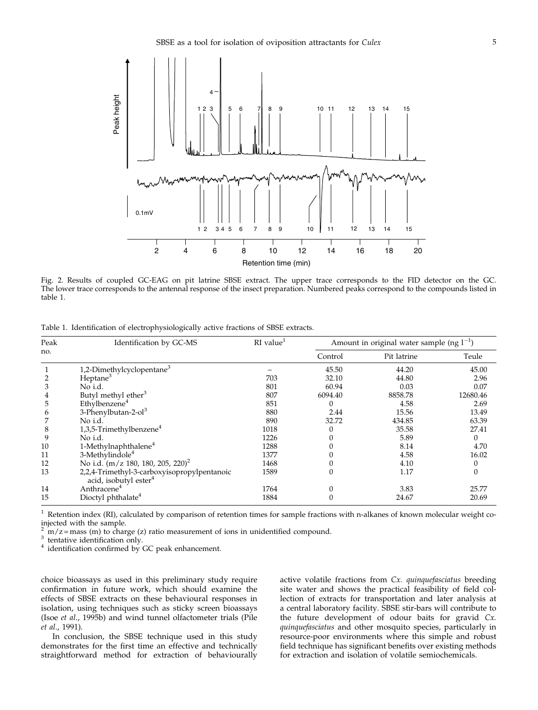

Fig. 2. Results of coupled GC-EAG on pit latrine SBSE extract. The upper trace corresponds to the FID detector on the GC. The lower trace corresponds to the antennal response of the insect preparation. Numbered peaks correspond to the compounds listed in table 1.

Table 1. Identification of electrophysiologically active fractions of SBSE extracts.

| Peak<br>no. | Identification by GC-MS                                                          | $RI$ value <sup>1</sup> | Amount in original water sample (ng $1^{-1}$ ) |             |          |
|-------------|----------------------------------------------------------------------------------|-------------------------|------------------------------------------------|-------------|----------|
|             |                                                                                  |                         | Control                                        | Pit latrine | Teule    |
|             | 1,2-Dimethylcyclopentane <sup>3</sup>                                            |                         | 45.50                                          | 44.20       | 45.00    |
|             | Heptane <sup>3</sup>                                                             | 703                     | 32.10                                          | 44.80       | 2.96     |
| 3           | No i.d.                                                                          | 801                     | 60.94                                          | 0.03        | 0.07     |
| 4           | Butyl methyl ether <sup>3</sup>                                                  | 807                     | 6094.40                                        | 8858.78     | 12680.46 |
| 5           | Ethylbenzene <sup>4</sup>                                                        | 851                     | 0                                              | 4.58        | 2.69     |
| 6           | 3-Phenylbutan-2-ol <sup>3</sup>                                                  | 880                     | 2.44                                           | 15.56       | 13.49    |
|             | No i.d.                                                                          | 890                     | 32.72                                          | 434.85      | 63.39    |
| 8           | $1,3,5$ -Trimethylbenzene <sup>4</sup>                                           | 1018                    |                                                | 35.58       | 27.41    |
| 9           | No i.d.                                                                          | 1226                    |                                                | 5.89        | 0        |
| 10          | 1-Methylnaphthalene <sup>4</sup>                                                 | 1288                    |                                                | 8.14        | 4.70     |
| 11          | 3-Methylindole <sup>4</sup>                                                      | 1377                    |                                                | 4.58        | 16.02    |
| 12          | No i.d. (m/z 180, 180, 205, 220) <sup>2</sup>                                    | 1468                    |                                                | 4.10        |          |
| 13          | 2,2,4-Trimethyl-3-carboxyisopropylpentanoic<br>acid, isobutyl ester <sup>4</sup> | 1589                    | 0                                              | 1.17        | 0        |
| 14          | Anthracene <sup>4</sup>                                                          | 1764                    |                                                | 3.83        | 25.77    |
| 15          | Dioctyl phthalate <sup>4</sup>                                                   | 1884                    |                                                | 24.67       | 20.69    |

 $1$  Retention index (RI), calculated by comparison of retention times for sample fractions with n-alkanes of known molecular weight coinjected with the sample.

 $\frac{2}{3}$  m/z = mass (m) to charge (z) ratio measurement of ions in unidentified compound.<br>  $\frac{3}{4}$  identification confirmed by GC peak enhancement.

choice bioassays as used in this preliminary study require confirmation in future work, which should examine the effects of SBSE extracts on these behavioural responses in isolation, using techniques such as sticky screen bioassays (Isoe et al., 1995b) and wind tunnel olfactometer trials (Pile et al., 1991).

In conclusion, the SBSE technique used in this study demonstrates for the first time an effective and technically straightforward method for extraction of behaviourally active volatile fractions from Cx. quinquefasciatus breeding site water and shows the practical feasibility of field collection of extracts for transportation and later analysis at a central laboratory facility. SBSE stir-bars will contribute to the future development of odour baits for gravid Cx. quinquefasciatus and other mosquito species, particularly in resource-poor environments where this simple and robust field technique has significant benefits over existing methods for extraction and isolation of volatile semiochemicals.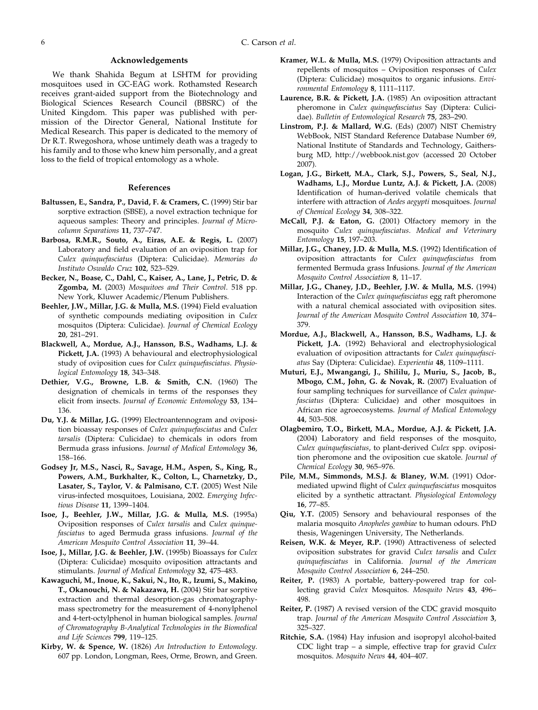#### Acknowledgements

We thank Shahida Begum at LSHTM for providing mosquitoes used in GC-EAG work. Rothamsted Research receives grant-aided support from the Biotechnology and Biological Sciences Research Council (BBSRC) of the United Kingdom. This paper was published with permission of the Director General, National Institute for Medical Research. This paper is dedicated to the memory of Dr R.T. Rwegoshora, whose untimely death was a tragedy to his family and to those who knew him personally, and a great loss to the field of tropical entomology as a whole.

### References

- Baltussen, E., Sandra, P., David, F. & Cramers, C. (1999) Stir bar sorptive extraction (SBSE), a novel extraction technique for aqueous samples: Theory and principles. Journal of Microcolumn Separations 11, 737–747.
- Barbosa, R.M.R., Souto, A., Eiras, A.E. & Regis, L. (2007) Laboratory and field evaluation of an oviposition trap for Culex quinquefasciatus (Diptera: Culicidae). Memorias do Instituto Oswaldo Cruz 102, 523–529.
- Becker, N., Boase, C., Dahl, C., Kaiser, A., Lane, J., Petric, D. & Zgomba, M. (2003) Mosquitoes and Their Control. 518 pp. New York, Kluwer Academic/Plenum Publishers.
- Beehler, J.W., Millar, J.G. & Mulla, M.S. (1994) Field evaluation of synthetic compounds mediating oviposition in Culex mosquitos (Diptera: Culicidae). Journal of Chemical Ecology 20, 281–291.
- Blackwell, A., Mordue, A.J., Hansson, B.S., Wadhams, L.J. & Pickett, J.A. (1993) A behavioural and electrophysiological study of oviposition cues for Culex quinquefasciatus. Physiological Entomology 18, 343–348.
- Dethier, V.G., Browne, L.B. & Smith, C.N. (1960) The designation of chemicals in terms of the responses they elicit from insects. Journal of Economic Entomology 53, 134– 136.
- Du, Y.J. & Millar, J.G. (1999) Electroantennogram and oviposition bioassay responses of Culex quinquefasciatus and Culex tarsalis (Diptera: Culicidae) to chemicals in odors from Bermuda grass infusions. Journal of Medical Entomology 36, 158–166.
- Godsey Jr, M.S., Nasci, R., Savage, H.M., Aspen, S., King, R., Powers, A.M., Burkhalter, K., Colton, L., Charnetzky, D., Lasater, S., Taylor, V. & Palmisano, C.T. (2005) West Nile virus-infected mosquitoes, Louisiana, 2002. Emerging Infectious Disease 11, 1399–1404.
- Isoe, J., Beehler, J.W., Millar, J.G. & Mulla, M.S. (1995a) Oviposition responses of Culex tarsalis and Culex quinquefasciatus to aged Bermuda grass infusions. Journal of the American Mosquito Control Association 11, 39–44.
- Isoe, J., Millar, J.G. & Beehler, J.W. (1995b) Bioassays for Culex (Diptera: Culicidae) mosquito oviposition attractants and stimulants. Journal of Medical Entomology 32, 475–483.
- Kawaguchi, M., Inoue, K., Sakui, N., Ito, R., Izumi, S., Makino, T., Okanouchi, N. & Nakazawa, H. (2004) Stir bar sorptive extraction and thermal desorption-gas chromatographymass spectrometry for the measurement of 4-nonylphenol and 4-tert-octylphenol in human biological samples. Journal of Chromatography B-Analytical Technologies in the Biomedical and Life Sciences 799, 119–125.
- Kirby, W. & Spence, W. (1826) An Introduction to Entomology. 607 pp. London, Longman, Rees, Orme, Brown, and Green.
- Kramer, W.L. & Mulla, M.S. (1979) Oviposition attractants and repellents of mosquitos – Oviposition responses of Culex (Diptera: Culicidae) mosquitos to organic infusions. Environmental Entomology 8, 1111–1117.
- Laurence, B.R. & Pickett, J.A. (1985) An oviposition attractant pheromone in Culex quinquefasciatus Say (Diptera: Culicidae). Bulletin of Entomological Research 75, 283–290.
- Linstrom, P.J. & Mallard, W.G. (Eds) (2007) NIST Chemistry WebBook, NIST Standard Reference Database Number 69, National Institute of Standards and Technology, Gaithersburg MD, http://webbook.nist.gov (accessed 20 October 2007).
- Logan, J.G., Birkett, M.A., Clark, S.J., Powers, S., Seal, N.J., Wadhams, L.J., Mordue Luntz, A.J. & Pickett, J.A. (2008) Identification of human-derived volatile chemicals that interfere with attraction of Aedes aegypti mosquitoes. Journal of Chemical Ecology 34, 308-322.
- McCall, P.J. & Eaton, G. (2001) Olfactory memory in the mosquito Culex quinquefasciatus. Medical and Veterinary Entomology 15, 197–203.
- Millar, J.G., Chaney, J.D. & Mulla, M.S. (1992) Identification of oviposition attractants for Culex quinquefasciatus from fermented Bermuda grass Infusions. Journal of the American Mosquito Control Association 8, 11–17.
- Millar, J.G., Chaney, J.D., Beehler, J.W. & Mulla, M.S. (1994) Interaction of the Culex quinquefasciatus egg raft pheromone with a natural chemical associated with oviposition sites. Journal of the American Mosquito Control Association 10, 374– 379.
- Mordue, A.J., Blackwell, A., Hansson, B.S., Wadhams, L.J. & Pickett, J.A. (1992) Behavioral and electrophysiological evaluation of oviposition attractants for Culex quinquefasciatus Say (Diptera: Culicidae). Experientia 48, 1109–1111.
- Muturi, E.J., Mwangangi, J., Shililu, J., Muriu, S., Jacob, B., Mbogo, C.M., John, G. & Novak, R. (2007) Evaluation of four sampling techniques for surveillance of Culex quinquefasciatus (Diptera: Culicidae) and other mosquitoes in African rice agroecosystems. Journal of Medical Entomology 44, 503–508.
- Olagbemiro, T.O., Birkett, M.A., Mordue, A.J. & Pickett, J.A. (2004) Laboratory and field responses of the mosquito, Culex quinquefasciatus, to plant-derived Culex spp. oviposition pheromone and the oviposition cue skatole. Journal of Chemical Ecology 30, 965–976.
- Pile, M.M., Simmonds, M.S.J. & Blaney, W.M. (1991) Odormediated upwind flight of Culex quinquefasciatus mosquitos elicited by a synthetic attractant. Physiological Entomology 16, 77–85.
- Qiu, Y.T. (2005) Sensory and behavioural responses of the malaria mosquito Anopheles gambiae to human odours. PhD thesis, Wageningen University, The Netherlands.
- Reisen, W.K. & Meyer, R.P. (1990) Attractiveness of selected oviposition substrates for gravid Culex tarsalis and Culex quinquefasciatus in California. Journal of the American Mosquito Control Association 6, 244–250.
- Reiter, P. (1983) A portable, battery-powered trap for collecting gravid Culex Mosquitos. Mosquito News 43, 496– 498.
- Reiter, P. (1987) A revised version of the CDC gravid mosquito trap. Journal of the American Mosquito Control Association 3, 325–327.
- Ritchie, S.A. (1984) Hay infusion and isopropyl alcohol-baited CDC light trap – a simple, effective trap for gravid Culex mosquitos. Mosquito News 44, 404–407.